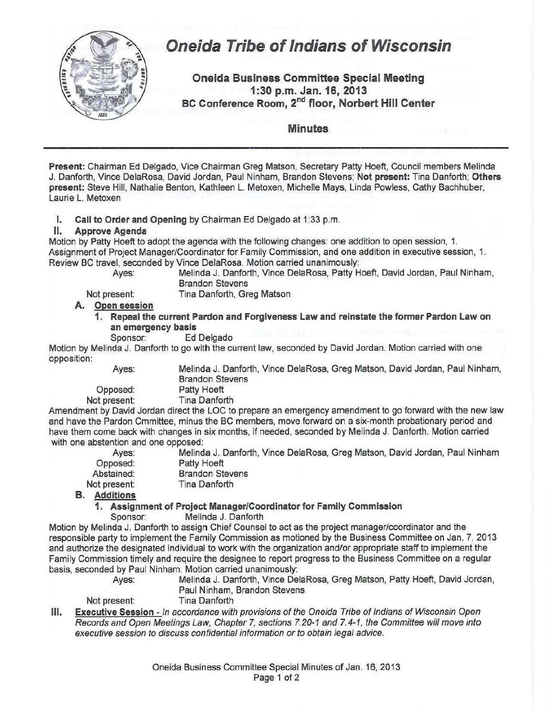

**Present:** Chairman Ed Delgado, Vice Chairman Greg Matson, Secretary Patty Hoeft, Council members Melinda J. Danforth, Vince DelaRosa, David Jordan, Paul Ninham, Brandon Stevens; **Not present:** Tina Danforth; **Others present:** Steve Hill, Nathalie Benton, Kathleen L. Metoxen, Michelle Mays, Linda Powless, Cathy Bachhuber, Laurie L. Metoxen

I. **Call to Order and Opening** by Chairman Ed Delgado at 1:33 p.m.

# **II. Approve Agenda**

Motion by Patty Hoeft to adopt the agenda with the following changes: one addition to open session, 1. Assignment of Project Manager/Coordinator for Family Commission, and one addition in executive session, 1. Review BC travel, seconded by Vince DelaRosa. Motion carried unanimously:

Ayes: Melinda J. Danforth, Vince DelaRosa, Patty Hoeft, David Jordan, Paul Ninham, Brandon Stevens

Not present: Tina Danforth, Greg Matson

# **A. Open session**

**1. Repeal the current Pardon and Forgiveness Law and reinstate the former Pardon Law on an emergency basis** 

Sponsor: Ed Delgado

Motion by Melinda J. Danforth to go with the current law, seconded by David Jordan. Motion carried with one opposition:

Ayes: Melinda J. Danforth, Vince DelaRosa, Greg Matson, David Jordan, Paul Ninham, Brandon Stevens

Opposed: Patty Hoeft Not present: Tina Danforth

Amendment by David Jordan direct the LOC to prepare an emergency amendment to go forward with the new law and have the Pardon Cmmittee, minus the BC members, move forward on a six-month probationary period and have them come back with changes in six months, if needed, seconded by Melinda J. Danforth. Motion carried with one abstention and one opposed:

| Aves:        | Melinda J. Danforth, Vince DelaRosa, Greg Matson, David Jordan, Paul Ninham |
|--------------|-----------------------------------------------------------------------------|
| Opposed:     | Patty Hoeft                                                                 |
| Abstained:   | <b>Brandon Stevens</b>                                                      |
| Not present: | Tina Danforth                                                               |

# **B. Additions**

# **1. Assignment of Project Manager/Coordinator for Family Commission**

Sponsor: Melinda J. Danforth

Motion by Melinda J. Danforth to assign Chief Counsel to act as the project manager/coordinator and the responsible party to implement the Family Commission as motioned by the Business Committee on Jan. 7, 2013 and authorize the designated individual to work with the organization and/or appropriate staff to implement the Family Commission timely and require the designee to report progress to the Business Committee on a regular basis, seconded by Paul Ninham. Motion carried unanimously:

Ayes: Melinda J. Danforth, Vince DelaRosa, Greg Matson, Patty Hoeft, David Jordan, Paul Ninham, Brandon Stevens

Not present: Tina Danforth

**Ill. Executive Session** - In accordance with provisions of the Oneida Tribe of Indians of Wisconsin Open Records and Open Meetings Law, Chapter 7, sections 7. 20-1 and 7. 4-1, the Committee will move into executive session to discuss confidential information or to obtain legal advice.